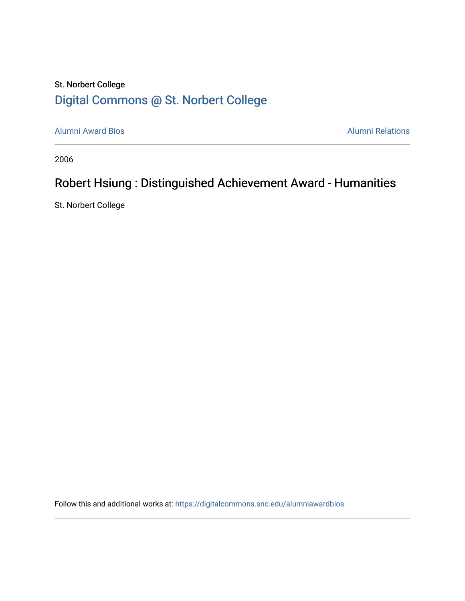## St. Norbert College [Digital Commons @ St. Norbert College](https://digitalcommons.snc.edu/)

[Alumni Award Bios](https://digitalcommons.snc.edu/alumniawardbios) **Alumni Relations** Alumni Relations

2006

## Robert Hsiung : Distinguished Achievement Award - Humanities

St. Norbert College

Follow this and additional works at: [https://digitalcommons.snc.edu/alumniawardbios](https://digitalcommons.snc.edu/alumniawardbios?utm_source=digitalcommons.snc.edu%2Falumniawardbios%2F10&utm_medium=PDF&utm_campaign=PDFCoverPages)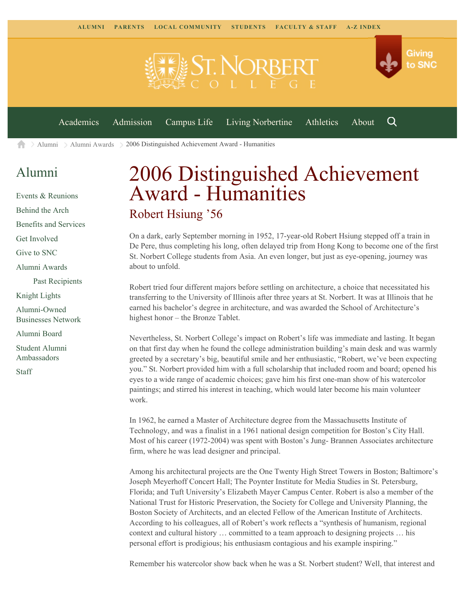

 $\geq$  [Alumni](https://www.snc.edu/alumni/)  $\geq$  [Alumni Awards](https://www.snc.edu/alumni/awards/)  $\geq$  2006 Distinguished Achievement Award - Humanities A

## [Alumni](https://www.snc.edu/alumni/index.html)

[Events & Reunions](https://www.snc.edu/alumni/event/index.html) [Behind the Arch](https://www.snc.edu/alumni/event/behindthearch/) [Benefits and Services](https://www.snc.edu/alumni/benefits.html) [Get Involved](https://www.snc.edu/alumni/getinvolved.html) [Give to SNC](http://giving.snc.edu/) [Alumni Awards](https://www.snc.edu/alumni/awards/index.html) [Past Recipients](https://www.snc.edu/alumni/awards/recipients.html) [Knight Lights](https://www.snc.edu/alumni/knightlights/index.html) [Alumni-Owned](https://www.snc.edu/alumni/directory/index.html) [Businesses Network](https://www.snc.edu/alumni/directory/index.html) [Alumni Board](https://www.snc.edu/alumni/alumniboard.html) [Student Alumni](https://www.snc.edu/alumni/saa.html) [Ambassadors](https://www.snc.edu/alumni/saa.html) [Staff](https://www.snc.edu/alumni/contactus.html)

## 2006 Distinguished Achievement Award - Humanities Robert Hsiung '56

On a dark, early September morning in 1952, 17-year-old Robert Hsiung stepped off a train in De Pere, thus completing his long, often delayed trip from Hong Kong to become one of the first St. Norbert College students from Asia. An even longer, but just as eye-opening, journey was about to unfold.

Robert tried four different majors before settling on architecture, a choice that necessitated his transferring to the University of Illinois after three years at St. Norbert. It was at Illinois that he earned his bachelor's degree in architecture, and was awarded the School of Architecture's highest honor – the Bronze Tablet.

Nevertheless, St. Norbert College's impact on Robert's life was immediate and lasting. It began on that first day when he found the college administration building's main desk and was warmly greeted by a secretary's big, beautiful smile and her enthusiastic, "Robert, we've been expecting you." St. Norbert provided him with a full scholarship that included room and board; opened his eyes to a wide range of academic choices; gave him his first one-man show of his watercolor paintings; and stirred his interest in teaching, which would later become his main volunteer work.

In 1962, he earned a Master of Architecture degree from the Massachusetts Institute of Technology, and was a finalist in a 1961 national design competition for Boston's City Hall. Most of his career (1972-2004) was spent with Boston's Jung- Brannen Associates architecture firm, where he was lead designer and principal.

Among his architectural projects are the One Twenty High Street Towers in Boston; Baltimore's Joseph Meyerhoff Concert Hall; The Poynter Institute for Media Studies in St. Petersburg, Florida; and Tuft University's Elizabeth Mayer Campus Center. Robert is also a member of the National Trust for Historic Preservation, the Society for College and University Planning, the Boston Society of Architects, and an elected Fellow of the American Institute of Architects. According to his colleagues, all of Robert's work reflects a "synthesis of humanism, regional context and cultural history … committed to a team approach to designing projects … his personal effort is prodigious; his enthusiasm contagious and his example inspiring."

Remember his watercolor show back when he was a St. Norbert student? Well, that interest and